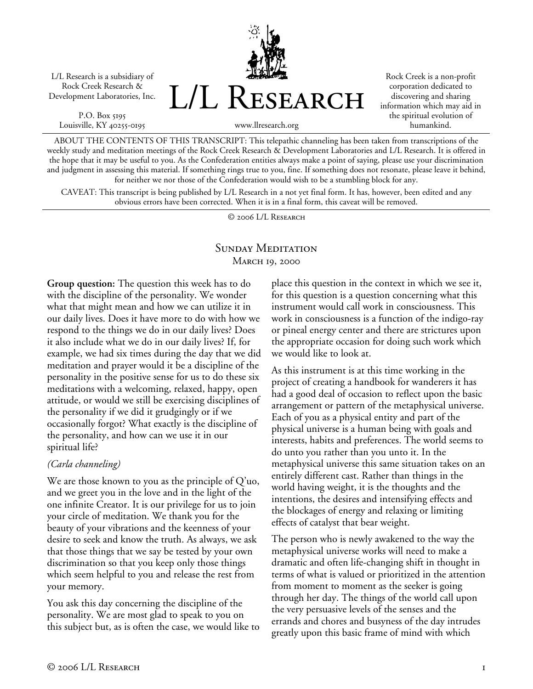L/L Research is a subsidiary of Rock Creek Research & Development Laboratories, Inc.

P.O. Box 5195 Louisville, KY 40255-0195



Rock Creek is a non-profit corporation dedicated to discovering and sharing information which may aid in the spiritual evolution of humankind.

ABOUT THE CONTENTS OF THIS TRANSCRIPT: This telepathic channeling has been taken from transcriptions of the weekly study and meditation meetings of the Rock Creek Research & Development Laboratories and L/L Research. It is offered in the hope that it may be useful to you. As the Confederation entities always make a point of saying, please use your discrimination and judgment in assessing this material. If something rings true to you, fine. If something does not resonate, please leave it behind, for neither we nor those of the Confederation would wish to be a stumbling block for any.

CAVEAT: This transcript is being published by L/L Research in a not yet final form. It has, however, been edited and any obvious errors have been corrected. When it is in a final form, this caveat will be removed.

© 2006 L/L Research

## SUNDAY MEDITATION March 19, 2000

**Group question:** The question this week has to do with the discipline of the personality. We wonder what that might mean and how we can utilize it in our daily lives. Does it have more to do with how we respond to the things we do in our daily lives? Does it also include what we do in our daily lives? If, for example, we had six times during the day that we did meditation and prayer would it be a discipline of the personality in the positive sense for us to do these six meditations with a welcoming, relaxed, happy, open attitude, or would we still be exercising disciplines of the personality if we did it grudgingly or if we occasionally forgot? What exactly is the discipline of the personality, and how can we use it in our spiritual life?

### *(Carla channeling)*

We are those known to you as the principle of Q'uo, and we greet you in the love and in the light of the one infinite Creator. It is our privilege for us to join your circle of meditation. We thank you for the beauty of your vibrations and the keenness of your desire to seek and know the truth. As always, we ask that those things that we say be tested by your own discrimination so that you keep only those things which seem helpful to you and release the rest from your memory.

You ask this day concerning the discipline of the personality. We are most glad to speak to you on this subject but, as is often the case, we would like to place this question in the context in which we see it, for this question is a question concerning what this instrument would call work in consciousness. This work in consciousness is a function of the indigo-ray or pineal energy center and there are strictures upon the appropriate occasion for doing such work which we would like to look at.

As this instrument is at this time working in the project of creating a handbook for wanderers it has had a good deal of occasion to reflect upon the basic arrangement or pattern of the metaphysical universe. Each of you as a physical entity and part of the physical universe is a human being with goals and interests, habits and preferences. The world seems to do unto you rather than you unto it. In the metaphysical universe this same situation takes on an entirely different cast. Rather than things in the world having weight, it is the thoughts and the intentions, the desires and intensifying effects and the blockages of energy and relaxing or limiting effects of catalyst that bear weight.

The person who is newly awakened to the way the metaphysical universe works will need to make a dramatic and often life-changing shift in thought in terms of what is valued or prioritized in the attention from moment to moment as the seeker is going through her day. The things of the world call upon the very persuasive levels of the senses and the errands and chores and busyness of the day intrudes greatly upon this basic frame of mind with which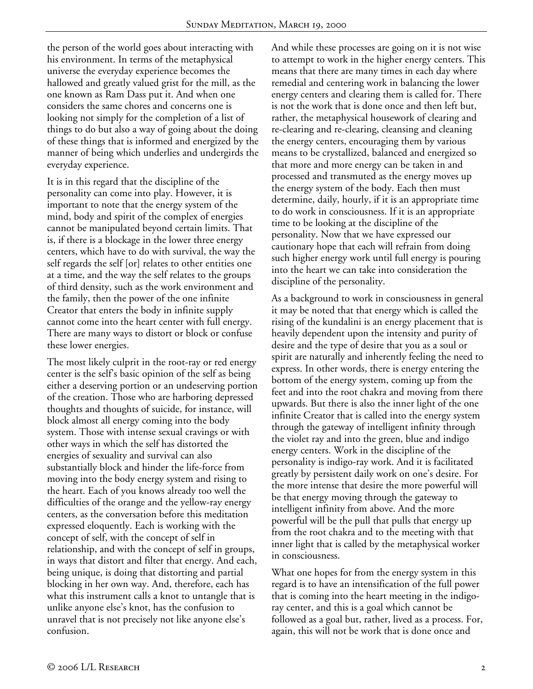the person of the world goes about interacting with his environment. In terms of the metaphysical universe the everyday experience becomes the hallowed and greatly valued grist for the mill, as the one known as Ram Dass put it. And when one considers the same chores and concerns one is looking not simply for the completion of a list of things to do but also a way of going about the doing of these things that is informed and energized by the manner of being which underlies and undergirds the everyday experience.

It is in this regard that the discipline of the personality can come into play. However, it is important to note that the energy system of the mind, body and spirit of the complex of energies cannot be manipulated beyond certain limits. That is, if there is a blockage in the lower three energy centers, which have to do with survival, the way the self regards the self [or] relates to other entities one at a time, and the way the self relates to the groups of third density, such as the work environment and the family, then the power of the one infinite Creator that enters the body in infinite supply cannot come into the heart center with full energy. There are many ways to distort or block or confuse these lower energies.

The most likely culprit in the root-ray or red energy center is the self's basic opinion of the self as being either a deserving portion or an undeserving portion of the creation. Those who are harboring depressed thoughts and thoughts of suicide, for instance, will block almost all energy coming into the body system. Those with intense sexual cravings or with other ways in which the self has distorted the energies of sexuality and survival can also substantially block and hinder the life-force from moving into the body energy system and rising to the heart. Each of you knows already too well the difficulties of the orange and the yellow-ray energy centers, as the conversation before this meditation expressed eloquently. Each is working with the concept of self, with the concept of self in relationship, and with the concept of self in groups, in ways that distort and filter that energy. And each, being unique, is doing that distorting and partial blocking in her own way. And, therefore, each has what this instrument calls a knot to untangle that is unlike anyone else's knot, has the confusion to unravel that is not precisely not like anyone else's confusion.

And while these processes are going on it is not wise to attempt to work in the higher energy centers. This means that there are many times in each day where remedial and centering work in balancing the lower energy centers and clearing them is called for. There is not the work that is done once and then left but, rather, the metaphysical housework of clearing and re-clearing and re-clearing, cleansing and cleaning the energy centers, encouraging them by various means to be crystallized, balanced and energized so that more and more energy can be taken in and processed and transmuted as the energy moves up the energy system of the body. Each then must determine, daily, hourly, if it is an appropriate time to do work in consciousness. If it is an appropriate time to be looking at the discipline of the personality. Now that we have expressed our cautionary hope that each will refrain from doing such higher energy work until full energy is pouring into the heart we can take into consideration the discipline of the personality.

As a background to work in consciousness in general it may be noted that that energy which is called the rising of the kundalini is an energy placement that is heavily dependent upon the intensity and purity of desire and the type of desire that you as a soul or spirit are naturally and inherently feeling the need to express. In other words, there is energy entering the bottom of the energy system, coming up from the feet and into the root chakra and moving from there upwards. But there is also the inner light of the one infinite Creator that is called into the energy system through the gateway of intelligent infinity through the violet ray and into the green, blue and indigo energy centers. Work in the discipline of the personality is indigo-ray work. And it is facilitated greatly by persistent daily work on one's desire. For the more intense that desire the more powerful will be that energy moving through the gateway to intelligent infinity from above. And the more powerful will be the pull that pulls that energy up from the root chakra and to the meeting with that inner light that is called by the metaphysical worker in consciousness.

What one hopes for from the energy system in this regard is to have an intensification of the full power that is coming into the heart meeting in the indigoray center, and this is a goal which cannot be followed as a goal but, rather, lived as a process. For, again, this will not be work that is done once and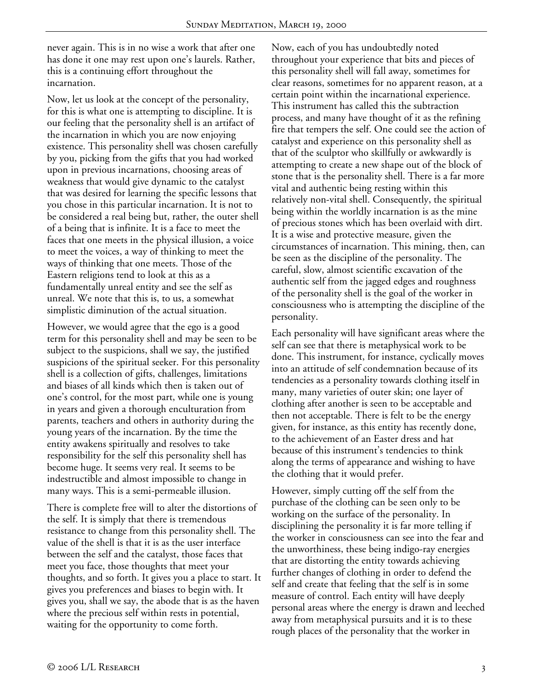never again. This is in no wise a work that after one has done it one may rest upon one's laurels. Rather, this is a continuing effort throughout the incarnation.

Now, let us look at the concept of the personality, for this is what one is attempting to discipline. It is our feeling that the personality shell is an artifact of the incarnation in which you are now enjoying existence. This personality shell was chosen carefully by you, picking from the gifts that you had worked upon in previous incarnations, choosing areas of weakness that would give dynamic to the catalyst that was desired for learning the specific lessons that you chose in this particular incarnation. It is not to be considered a real being but, rather, the outer shell of a being that is infinite. It is a face to meet the faces that one meets in the physical illusion, a voice to meet the voices, a way of thinking to meet the ways of thinking that one meets. Those of the Eastern religions tend to look at this as a fundamentally unreal entity and see the self as unreal. We note that this is, to us, a somewhat simplistic diminution of the actual situation.

However, we would agree that the ego is a good term for this personality shell and may be seen to be subject to the suspicions, shall we say, the justified suspicions of the spiritual seeker. For this personality shell is a collection of gifts, challenges, limitations and biases of all kinds which then is taken out of one's control, for the most part, while one is young in years and given a thorough enculturation from parents, teachers and others in authority during the young years of the incarnation. By the time the entity awakens spiritually and resolves to take responsibility for the self this personality shell has become huge. It seems very real. It seems to be indestructible and almost impossible to change in many ways. This is a semi-permeable illusion.

There is complete free will to alter the distortions of the self. It is simply that there is tremendous resistance to change from this personality shell. The value of the shell is that it is as the user interface between the self and the catalyst, those faces that meet you face, those thoughts that meet your thoughts, and so forth. It gives you a place to start. It gives you preferences and biases to begin with. It gives you, shall we say, the abode that is as the haven where the precious self within rests in potential, waiting for the opportunity to come forth.

Now, each of you has undoubtedly noted throughout your experience that bits and pieces of this personality shell will fall away, sometimes for clear reasons, sometimes for no apparent reason, at a certain point within the incarnational experience. This instrument has called this the subtraction process, and many have thought of it as the refining fire that tempers the self. One could see the action of catalyst and experience on this personality shell as that of the sculptor who skillfully or awkwardly is attempting to create a new shape out of the block of stone that is the personality shell. There is a far more vital and authentic being resting within this relatively non-vital shell. Consequently, the spiritual being within the worldly incarnation is as the mine of precious stones which has been overlaid with dirt. It is a wise and protective measure, given the circumstances of incarnation. This mining, then, can be seen as the discipline of the personality. The careful, slow, almost scientific excavation of the authentic self from the jagged edges and roughness of the personality shell is the goal of the worker in consciousness who is attempting the discipline of the personality.

Each personality will have significant areas where the self can see that there is metaphysical work to be done. This instrument, for instance, cyclically moves into an attitude of self condemnation because of its tendencies as a personality towards clothing itself in many, many varieties of outer skin; one layer of clothing after another is seen to be acceptable and then not acceptable. There is felt to be the energy given, for instance, as this entity has recently done, to the achievement of an Easter dress and hat because of this instrument's tendencies to think along the terms of appearance and wishing to have the clothing that it would prefer.

However, simply cutting off the self from the purchase of the clothing can be seen only to be working on the surface of the personality. In disciplining the personality it is far more telling if the worker in consciousness can see into the fear and the unworthiness, these being indigo-ray energies that are distorting the entity towards achieving further changes of clothing in order to defend the self and create that feeling that the self is in some measure of control. Each entity will have deeply personal areas where the energy is drawn and leeched away from metaphysical pursuits and it is to these rough places of the personality that the worker in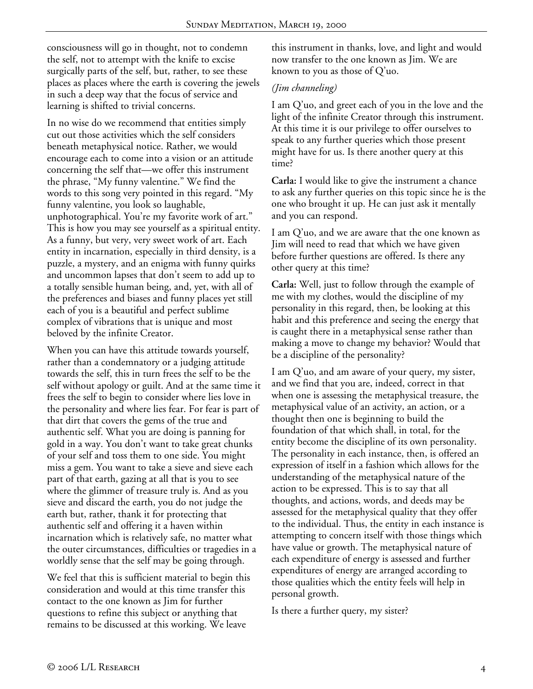consciousness will go in thought, not to condemn the self, not to attempt with the knife to excise surgically parts of the self, but, rather, to see these places as places where the earth is covering the jewels in such a deep way that the focus of service and learning is shifted to trivial concerns.

In no wise do we recommend that entities simply cut out those activities which the self considers beneath metaphysical notice. Rather, we would encourage each to come into a vision or an attitude concerning the self that—we offer this instrument the phrase, "My funny valentine." We find the words to this song very pointed in this regard. "My funny valentine, you look so laughable, unphotographical. You're my favorite work of art." This is how you may see yourself as a spiritual entity. As a funny, but very, very sweet work of art. Each entity in incarnation, especially in third density, is a puzzle, a mystery, and an enigma with funny quirks and uncommon lapses that don't seem to add up to a totally sensible human being, and, yet, with all of the preferences and biases and funny places yet still each of you is a beautiful and perfect sublime complex of vibrations that is unique and most beloved by the infinite Creator.

When you can have this attitude towards yourself, rather than a condemnatory or a judging attitude towards the self, this in turn frees the self to be the self without apology or guilt. And at the same time it frees the self to begin to consider where lies love in the personality and where lies fear. For fear is part of that dirt that covers the gems of the true and authentic self. What you are doing is panning for gold in a way. You don't want to take great chunks of your self and toss them to one side. You might miss a gem. You want to take a sieve and sieve each part of that earth, gazing at all that is you to see where the glimmer of treasure truly is. And as you sieve and discard the earth, you do not judge the earth but, rather, thank it for protecting that authentic self and offering it a haven within incarnation which is relatively safe, no matter what the outer circumstances, difficulties or tragedies in a worldly sense that the self may be going through.

We feel that this is sufficient material to begin this consideration and would at this time transfer this contact to the one known as Jim for further questions to refine this subject or anything that remains to be discussed at this working. We leave

this instrument in thanks, love, and light and would now transfer to the one known as Jim. We are known to you as those of Q'uo.

## *(Jim channeling)*

I am Q'uo, and greet each of you in the love and the light of the infinite Creator through this instrument. At this time it is our privilege to offer ourselves to speak to any further queries which those present might have for us. Is there another query at this time?

**Carla:** I would like to give the instrument a chance to ask any further queries on this topic since he is the one who brought it up. He can just ask it mentally and you can respond.

I am Q'uo, and we are aware that the one known as Jim will need to read that which we have given before further questions are offered. Is there any other query at this time?

**Carla:** Well, just to follow through the example of me with my clothes, would the discipline of my personality in this regard, then, be looking at this habit and this preference and seeing the energy that is caught there in a metaphysical sense rather than making a move to change my behavior? Would that be a discipline of the personality?

I am Q'uo, and am aware of your query, my sister, and we find that you are, indeed, correct in that when one is assessing the metaphysical treasure, the metaphysical value of an activity, an action, or a thought then one is beginning to build the foundation of that which shall, in total, for the entity become the discipline of its own personality. The personality in each instance, then, is offered an expression of itself in a fashion which allows for the understanding of the metaphysical nature of the action to be expressed. This is to say that all thoughts, and actions, words, and deeds may be assessed for the metaphysical quality that they offer to the individual. Thus, the entity in each instance is attempting to concern itself with those things which have value or growth. The metaphysical nature of each expenditure of energy is assessed and further expenditures of energy are arranged according to those qualities which the entity feels will help in personal growth.

Is there a further query, my sister?